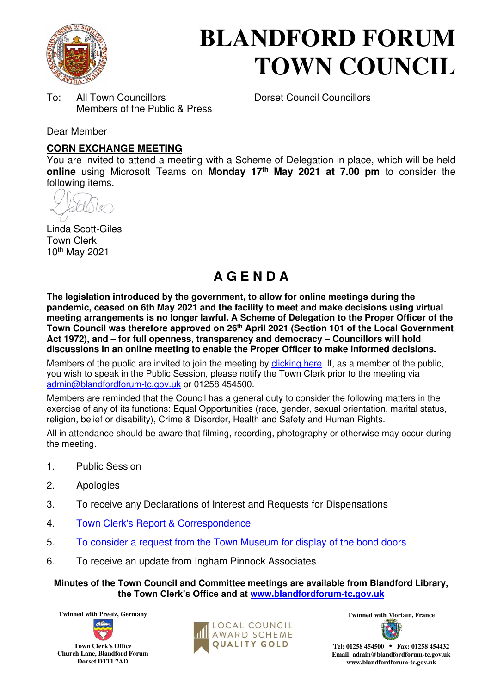

# **BLANDFORD FORUM TOWN COUNCIL**

To: All Town Councillors Dorset Council Councillors Members of the Public & Press

Dear Member

#### **CORN EXCHANGE MEETING**

You are invited to attend a meeting with a Scheme of Delegation in place, which will be held **online** using Microsoft Teams on **Monday 17th May 2021 at 7.00 pm** to consider the following items.

Linda Scott-Giles Town Clerk 10th May 2021

## **A G E N D A**

**The legislation introduced by the government, to allow for online meetings during the pandemic, ceased on 6th May 2021 and the facility to meet and make decisions using virtual meeting arrangements is no longer lawful. A Scheme of Delegation to the Proper Officer of the Town Council was therefore approved on 26th April 2021 (Section 101 of the Local Government Act 1972), and – for full openness, transparency and democracy – Councillors will hold discussions in an online meeting to enable the Proper Officer to make informed decisions.** 

Members of the public are invited to join the meeting by [clicking here.](https://teams.microsoft.com/l/meetup-join/19%3a2cb1b1f9de074efdad40308940ab9ba0%40thread.tacv2/1601391913037?context=%7b%22Tid%22%3a%223cd8f2fb-4c45-4162-86f1-fb87b5f6a138%22%2c%22Oid%22%3a%220c3baf8d-62e3-449c-a9c3-94a2df169799%22%7d) If, as a member of the public, you wish to speak in the Public Session, please notify the Town Clerk prior to the meeting via [admin@blandfordforum-tc.gov.uk](mailto:admin@blandfordforum-tc.gov.uk) or 01258 454500.

Members are reminded that the Council has a general duty to consider the following matters in the exercise of any of its functions: Equal Opportunities (race, gender, sexual orientation, marital status, religion, belief or disability), Crime & Disorder, Health and Safety and Human Rights.

All in attendance should be aware that filming, recording, photography or otherwise may occur during the meeting.

- 1. Public Session
- 2. Apologies
- 3. To receive any Declarations of Interest and Requests for Dispensations
- 4. [Town Clerk's Report & Correspondence](#page-1-0)
- 5. [To consider a request from the Town Museum for display of the bond doors](#page-2-0)
- 6. To receive an update from Ingham Pinnock Associates

**Minutes of the Town Council and Committee meetings are available from Blandford Library, the Town Clerk's Office and at [www.blandfordforum-tc.gov.uk](http://www.blandfordforum-tc.gov.uk/)**





**Tel: 01258 454500 • Fax: 01258 454432 Email: admin@blandfordforum-tc.gov.uk www.blandfordforum-tc.gov.uk**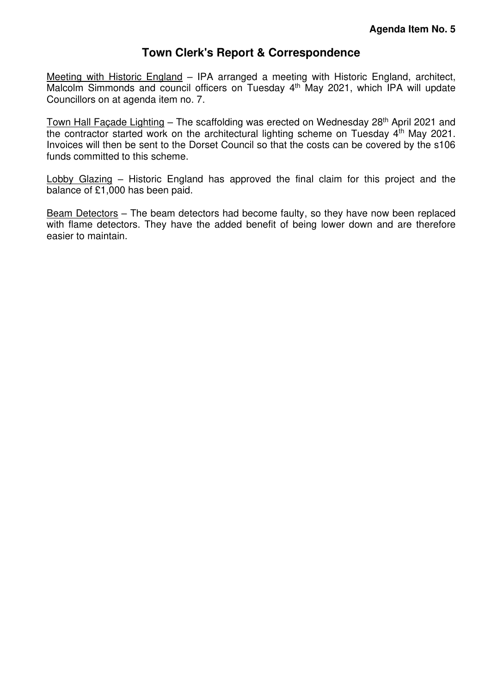## **Town Clerk's Report & Correspondence**

<span id="page-1-0"></span>Meeting with Historic England – IPA arranged a meeting with Historic England, architect, Malcolm Simmonds and council officers on Tuesday 4<sup>th</sup> May 2021, which IPA will update Councillors on at agenda item no. 7.

Town Hall Façade Lighting - The scaffolding was erected on Wednesday 28<sup>th</sup> April 2021 and the contractor started work on the architectural lighting scheme on Tuesday 4<sup>th</sup> May 2021. Invoices will then be sent to the Dorset Council so that the costs can be covered by the s106 funds committed to this scheme.

Lobby Glazing – Historic England has approved the final claim for this project and the balance of £1,000 has been paid.

Beam Detectors – The beam detectors had become faulty, so they have now been replaced with flame detectors. They have the added benefit of being lower down and are therefore easier to maintain.